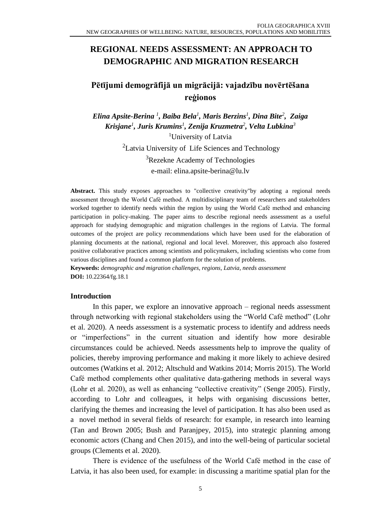# **REGIONAL NEEDS ASSESSMENT: AN APPROACH TO DEMOGRAPHIC AND MIGRATION RESEARCH**

# **Pētījumi demogrāfijā un migrācijā: vajadzību novērtēšana reģionos**

*Elina Apsite-Berina <sup>1</sup> , Baiba Bela<sup>1</sup> , Maris Berzins<sup>1</sup> , Dina Bite<sup>2</sup> , Zaiga Krisjane<sup>1</sup> , Juris Krumins<sup>1</sup> , Zenija Kruzmetra 2 , Velta Lubkina<sup>3</sup>* <sup>1</sup>University of Latvia  ${}^{2}$ Latvia University of Life Sciences and Technology <sup>3</sup>Rezekne Academy of Technologies e-mail: elina.apsite-berina@lu.lv

**Abstract.** This study exposes approaches to "collective creativity"by adopting a regional needs assessment through the World Café method. A multidisciplinary team of researchers and stakeholders worked together to identify needs within the region by using the World Café method and enhancing participation in policy-making. The paper aims to describe regional needs assessment as a useful approach for studying demographic and migration challenges in the regions of Latvia. The formal outcomes of the project are policy recommendations which have been used for the elaboration of planning documents at the national, regional and local level. Moreover, this approach also fostered positive collaborative practices among scientists and policymakers, including scientists who come from various disciplines and found a common platform for the solution of problems.

**Keywords:** *demographic and migration challenges, regions, Latvia, needs assessment* **DOI:** 10.22364/fg.18.1

### **Introduction**

In this paper, we explore an innovative approach – regional needs assessment through networking with regional stakeholders using the "World Café method" (Lohr et al. 2020). A needs assessment is a systematic process to identify and address needs or "imperfections" in the current situation and identify how more desirable circumstances could be achieved. Needs assessments help to improve the quality of policies, thereby improving performance and making it more likely to achieve desired outcomes (Watkins et al. 2012; Altschuld and Watkins 2014; Morris 2015). The World Café method complements other qualitative data-gathering methods in several ways (Lohr et al. 2020), as well as enhancing "collective creativity" (Senge 2005). Firstly, according to Lohr and colleagues, it helps with organising discussions better, clarifying the themes and increasing the level of participation. It has also been used as a novel method in several fields of research: for example, in research into learning (Tan and Brown 2005; Bush and Paranjpey, 2015), into strategic planning among economic actors (Chang and Chen 2015), and into the well-being of particular societal groups (Clements et al. 2020).

There is evidence of the usefulness of the World Café method in the case of Latvia, it has also been used, for example: in discussing a maritime spatial plan for the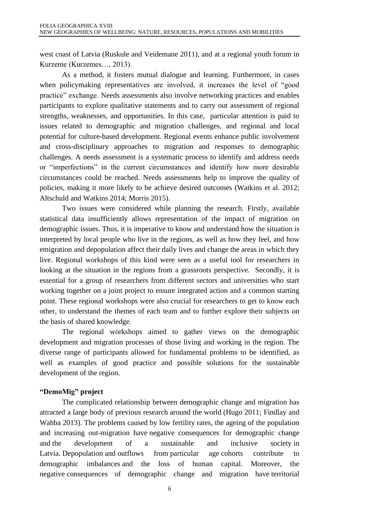west coast of Latvia (Ruskule and Veidemane 2011), and at a regional youth forum in Kurzeme (Kurzemes…, 2013).

As a method, it fosters mutual dialogue and learning. Furthermore, in cases when policymaking representatives are involved, it increases the level of "good practice" exchange. Needs assessments also involve networking practices and enables participants to explore qualitative statements and to carry out assessment of regional strengths, weaknesses, and opportunities. In this case, particular attention is paid to issues related to demographic and migration challenges, and regional and local potential for culture-based development. Regional events enhance public involvement and cross-disciplinary approaches to migration and responses to demographic challenges. A needs assessment is a systematic process to identify and address needs or "imperfections" in the current circumstances and identify how more desirable circumstances could be reached. Needs assessments help to improve the quality of policies, making it more likely to be achieve desired outcomes (Watkins et al. 2012; Altschuld and Watkins 2014; Morris 2015).

Two issues were considered while planning the research. Firstly, available statistical data insufficiently allows representation of the impact of migration on demographic issues. Thus, it is imperative to know and understand how the situation is interpreted by local people who live in the regions, as well as how they feel, and how emigration and depopulation affect their daily lives and change the areas in which they live. Regional workshops of this kind were seen as a useful tool for researchers in looking at the situation in the regions from a grassroots perspective. Secondly, it is essential for a group of researchers from different sectors and universities who start working together on a joint project to ensure integrated action and a common starting point. These regional workshops were also crucial for researchers to get to know each other, to understand the themes of each team and to further explore their subjects on the basis of shared knowledge.

The regional workshops aimed to gather views on the demographic development and migration processes of those living and working in the region. The diverse range of participants allowed for fundamental problems to be identified, as well as examples of good practice and possible solutions for the sustainable development of the region.

### **"DemoMig" project**

The complicated relationship between demographic change and migration has attracted a large body of previous research around the world (Hugo 2011; Findlay and Wahba 2013). The problems caused by low fertility rates, the ageing of the population and increasing out-migration have negative consequences for demographic change and the development of a sustainable and inclusive society in Latvia. Depopulation and outflows from particular age cohorts contribute to demographic imbalances and the loss of human capital. Moreover, the negative consequences of demographic change and migration have territorial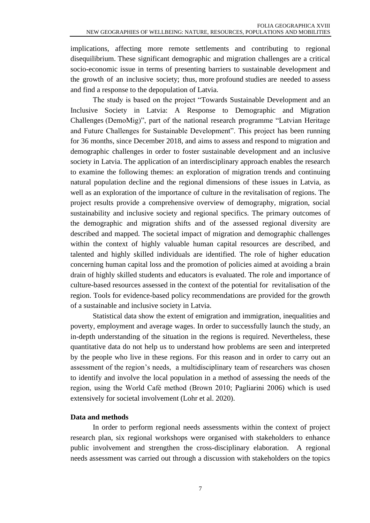implications, affecting more remote settlements and contributing to regional disequilibrium. These significant demographic and migration challenges are a critical socio-economic issue in terms of presenting barriers to sustainable development and the growth of an inclusive society; thus, more profound studies are needed to assess and find a response to the depopulation of Latvia.

The study is based on the project "Towards Sustainable Development and an Inclusive Society in Latvia: A Response to Demographic and Migration Challenges (DemoMig)", part of the national research programme "Latvian Heritage and Future Challenges for Sustainable Development". This project has been running for 36 months, since December 2018, and aims to assess and respond to migration and demographic challenges in order to foster sustainable development and an inclusive society in Latvia. The application of an interdisciplinary approach enables the research to examine the following themes: an exploration of migration trends and continuing natural population decline and the regional dimensions of these issues in Latvia, as well as an exploration of the importance of culture in the revitalisation of regions. The project results provide a comprehensive overview of demography, migration, social sustainability and inclusive society and regional specifics. The primary outcomes of the demographic and migration shifts and of the assessed regional diversity are described and mapped. The societal impact of migration and demographic challenges within the context of highly valuable human capital resources are described, and talented and highly skilled individuals are identified. The role of higher education concerning human capital loss and the promotion of policies aimed at avoiding a brain drain of highly skilled students and educators is evaluated. The role and importance of culture-based resources assessed in the context of the potential for revitalisation of the region. Tools for evidence-based policy recommendations are provided for the growth of a sustainable and inclusive society in Latvia.

Statistical data show the extent of emigration and immigration, inequalities and poverty, employment and average wages. In order to successfully launch the study, an in-depth understanding of the situation in the regions is required. Nevertheless, these quantitative data do not help us to understand how problems are seen and interpreted by the people who live in these regions. For this reason and in order to carry out an assessment of the region's needs, a multidisciplinary team of researchers was chosen to identify and involve the local population in a method of assessing the needs of the region, using the World Café method (Brown 2010; Pagliarini 2006) which is used extensively for societal involvement (Lohr et al. 2020).

# **Data and methods**

In order to perform regional needs assessments within the context of project research plan, six regional workshops were organised with stakeholders to enhance public involvement and strengthen the cross-disciplinary elaboration. A regional needs assessment was carried out through a discussion with stakeholders on the topics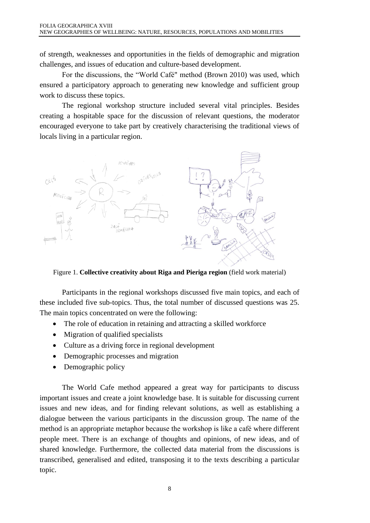of strength, weaknesses and opportunities in the fields of demographic and migration challenges, and issues of education and culture-based development.

For the discussions, the "World Café" method (Brown 2010) was used, which ensured a participatory approach to generating new knowledge and sufficient group work to discuss these topics.

The regional workshop structure included several vital principles. Besides creating a hospitable space for the discussion of relevant questions, the moderator encouraged everyone to take part by creatively characterising the traditional views of locals living in a particular region.



Figure 1. **Collective creativity about Riga and Pieriga region** (field work material)

Participants in the regional workshops discussed five main topics, and each of these included five sub-topics. Thus, the total number of discussed questions was 25. The main topics concentrated on were the following:

- The role of education in retaining and attracting a skilled workforce
- Migration of qualified specialists
- Culture as a driving force in regional development
- Demographic processes and migration
- Demographic policy

The World Cafe method appeared a great way for participants to discuss important issues and create a joint knowledge base. It is suitable for discussing current issues and new ideas, and for finding relevant solutions, as well as establishing a dialogue between the various participants in the discussion group. The name of the method is an appropriate metaphor because the workshop is like a café where different people meet. There is an exchange of thoughts and opinions, of new ideas, and of shared knowledge. Furthermore, the collected data material from the discussions is transcribed, generalised and edited, transposing it to the texts describing a particular topic.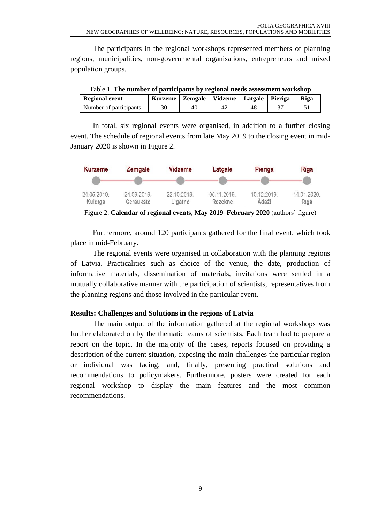The participants in the regional workshops represented members of planning regions, municipalities, non-governmental organisations, entrepreneurs and mixed population groups.

| Table T. The number of participants by regional needs assessment workshop |                                                 |    |    |    |  |      |
|---------------------------------------------------------------------------|-------------------------------------------------|----|----|----|--|------|
| <b>Regional event</b>                                                     | Kurzeme   Zemgale   Vidzeme   Latgale   Pieriga |    |    |    |  | Riga |
| Number of participants                                                    | 30                                              | 40 | 42 | 48 |  |      |

Table 1. **The number of participants by regional needs assessment workshop**

In total, six regional events were organised, in addition to a further closing event. The schedule of regional events from late May 2019 to the closing event in mid-January 2020 is shown in Figure 2.



Figure 2. **Calendar of regional events, May 2019–February 2020** (authors' figure)

Furthermore, around 120 participants gathered for the final event, which took place in mid-February.

The regional events were organised in collaboration with the planning regions of Latvia. Practicalities such as choice of the venue, the date, production of informative materials, dissemination of materials, invitations were settled in a mutually collaborative manner with the participation of scientists, representatives from the planning regions and those involved in the particular event.

# **Results: Challenges and Solutions in the regions of Latvia**

The main output of the information gathered at the regional workshops was further elaborated on by the thematic teams of scientists. Each team had to prepare a report on the topic. In the majority of the cases, reports focused on providing a description of the current situation, exposing the main challenges the particular region or individual was facing, and, finally, presenting practical solutions and recommendations to policymakers. Furthermore, posters were created for each regional workshop to display the main features and the most common recommendations.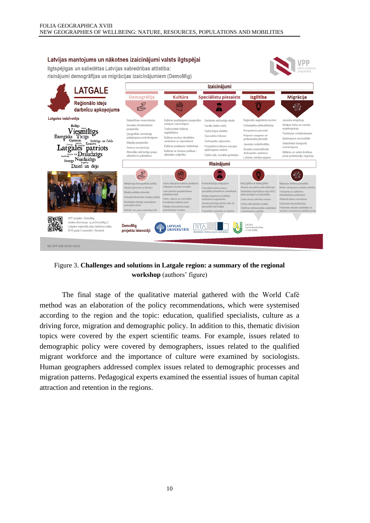#### Latvijas mantojums un nākotnes izaicinājumi valsts ilgtspējai Ilgtspējīgas un saliedētas Latvijas sabiedrības attīstība: risinājumi demogrāfijas un migrācijas izaicinājumiem (DemoMig) **Izaicinājumi LATGALE** Izglītība Kultūra Speciālistu piesaiste **Demogrāfija Migrācija** Reģionālo ideju ra<br>San <u>န်တို့</u> ❀ Ă darbnīcu apkopojums Latgales iedzīvotājs Sabiedrības no Kultūras piedāvājuma pi<br>vietējiem iedzīvotājiem rūkošs iedzīvotāju skaits Reģionālo augstskolu nozīm **Jauniešu emigrācija Bailigs** Sociālās infrastruktūras Garāks darba mūžs Darbaspēka pārkvalifikācija Nedēlas darba un mācību ouclaras in Trodicionālās kultūros svärstminränija Viesmiligs Kompetenču pilnveide Darba tirgus elastib .uu.oonuu.c<br>aglabāšana .<br>Ģeogrāfiski vienmērīgs<br>pakalpojumu nodrošinā Pierobežas «iztukšošanās» Finergisks Ticigs<br>
Poptimists Stratings un čakls<br>
To Presign Analisus Kreating<br>
To Presign Analisus Kreating<br>
To Analisus Reading Speciālistu trūkums Karjeras izaugsme un<br>profesionālā pilnveide Kultūros nozīmo identitāl Apdzīvojuma sezonalitāte unuras nozīme identitāte<br>eidošanā un stiprināšanā Darbaspēka atjaunotne Mājokļu pieejamība .<br>Sabiedriskā transporta .<br>Jauniešu nodarbinātība Perspektīvu trūkums mazajo<br>apdzīvojuma centros Latgales patriots Kultūras pasākumu mārketings Senioru socializācija nodrošinājums Ārvalstu mazkvalificētā Atsevišķu iedzīvotāju grupu<br>atkarība no pabalstiem Kultūras un tūrisma nolitikas / Militārās un valsts drošības **Example 21** ravaista mazikvaimost<br>darbaspēka ieplūšana aktivitāšu noškirtība Darba vide, sociālās garantijas jomas profesionālu migrācija Sirsnigs Neatlaidīgs Latviešu valodas apguv **Risinājumi** Dzied un dejo 。 Ж thalete áimenēm ar hērniem .<br>Atbalsts speciālistu pārkvalīf l abo njemëru nonularizëšan: .<br>Radarhīhas stinrināšana starn NVC ijokļu politikas pilnveide ubliskaiā telni Darba devēju aktīvāka jesaist .<br>Attālinātā darba veicināšan lăveido pievilcīga dzīves vide, la .<br>Darha vidë halstitas studija Darhavietu decentralizācija .<br>Plašāks informatīvais lauks .<br>Iu iedzīvotājus l<br>Hivâki vieu nuču car **VPP** projekts: DemoMia sīkāka informācija: ei.uz/DemoMigLU **DemoMia** Latvijas<br>Lauksaimniecības<br>universitāte Latgales reģionālā ideju darbnīca notika<br>2019.gada 5.novembrī, Rēzeknē **LATVILAS**  $\overline{\text{RTA}}$ projekta istenotāji: UNIVERSITÄTE NR.VPP-IZM-2018/1-0015

Figure 3. **Challenges and solutions in Latgale region: a summary of the regional workshop** (authors' figure)

The final stage of the qualitative material gathered with the World Café method was an elaboration of the policy recommendations, which were systemised according to the region and the topic: education, qualified specialists, culture as a driving force, migration and demographic policy. In addition to this, thematic division topics were covered by the expert scientific teams. For example, issues related to demographic policy were covered by demographers, issues related to the qualified migrant workforce and the importance of culture were examined by sociologists. Human geographers addressed complex issues related to demographic processes and migration patterns. Pedagogical experts examined the essential issues of human capital attraction and retention in the regions.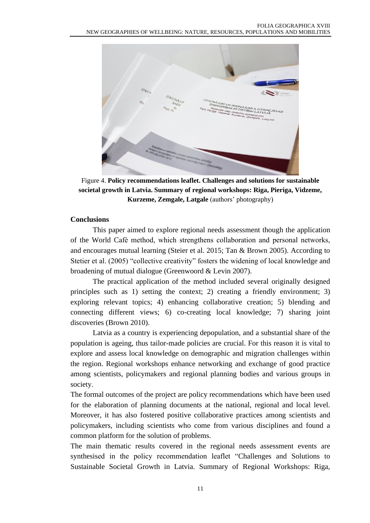

Figure 4. **Policy recommendations leaflet. Challenges and solutions for sustainable societal growth in Latvia. Summary of regional workshops: Riga, Pieriga, Vidzeme, Kurzeme, Zemgale, Latgale** (authors' photography)

## **Conclusions**

This paper aimed to explore regional needs assessment though the application of the World Café method, which strengthens collaboration and personal networks, and encourages mutual learning (Steier et al. 2015; Tan & Brown 2005). According to Stetier et al. (2005) "collective creativity" fosters the widening of local knowledge and broadening of mutual dialogue (Greenwoord & Levin 2007).

The practical application of the method included several originally designed principles such as 1) setting the context; 2) creating a friendly environment; 3) exploring relevant topics; 4) enhancing collaborative creation; 5) blending and connecting different views; 6) co-creating local knowledge; 7) sharing joint discoveries (Brown 2010).

Latvia as a country is experiencing depopulation, and a substantial share of the population is ageing, thus tailor-made policies are crucial. For this reason it is vital to explore and assess local knowledge on demographic and migration challenges within the region. Regional workshops enhance networking and exchange of good practice among scientists, policymakers and regional planning bodies and various groups in society.

The formal outcomes of the project are policy recommendations which have been used for the elaboration of planning documents at the national, regional and local level. Moreover, it has also fostered positive collaborative practices among scientists and policymakers, including scientists who come from various disciplines and found a common platform for the solution of problems.

The main thematic results covered in the regional needs assessment events are synthesised in the policy recommendation leaflet "Challenges and Solutions to Sustainable Societal Growth in Latvia. Summary of Regional Workshops: Riga,